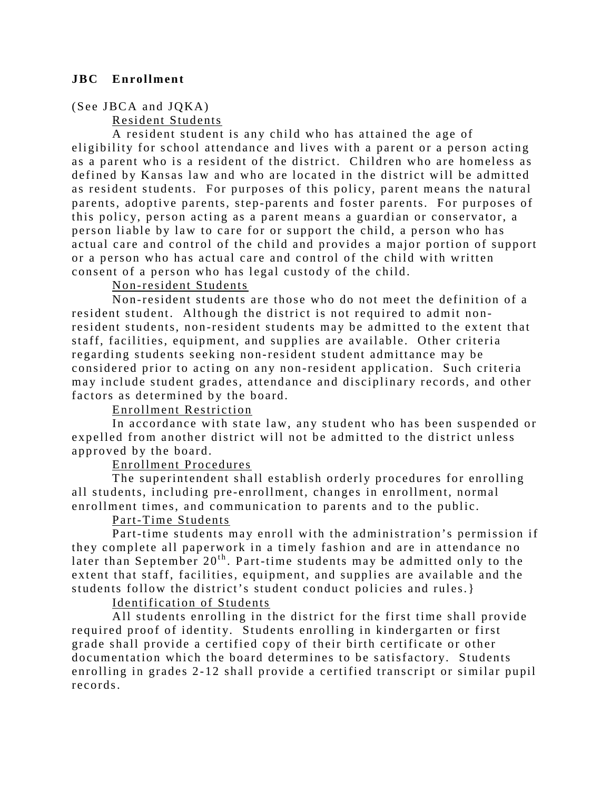## **JBC Enrollment**

## (See JBCA and JQKA)

Resident Students

A resident student is any child who has attained the age of eligibility for school attendance and lives with a parent or a person acting as a parent who is a resident of the district. Children who are homeless as defined by Kansas law and who are located in the district will be admitted as resident students. For purposes of this policy, parent means the natural parents, adoptive parents, step-parents and foster parents. For purposes of this policy, person acting as a parent means a guardian or conservator, a person liable by law to care for or support the child, a person who has actual care and control of the child and provides a major portion of support or a person who has actual care and control of the child with written consent of a person who has legal custody of the child.

# Non-resident Students

Non-resident students are those who do not meet the definition of a resident student. Although the district is not required to admit nonresident students, non-resident students may be admitted to the extent that staff, facilities, equipment, and supplies are available. Other criteria regarding students seeking non-resident student admittance may be considered prior to acting on any non-resident application. Such criteria may include student grades, attendance and disciplinary records, and other factors as determined by the board.

# Enrollment Restriction

In accordance with state law, any student who has been suspended or expelled from another district will not be admitted to the district unless approved by the board.

## Enrollment Procedures

The superintendent shall establish orderly procedures for enrolling all students, including pre - enrollment, changes in enrollment, normal enrollment times, and communication to parents and to the public.

## Part-Time Students

Part-time students may enroll with the administration's permission if they complete all paperwork in a timely fashion and are in attendance no later than September  $20<sup>th</sup>$ . Part-time students may be admitted only to the extent that staff, facilities, equipment, and supplies are available and the students follow the district's student conduct policies and rules.}

## Identification of Students

All students enrolling in the district for the first time shall provide required proof of identity. Students enrolling in kindergarten or first grade shall provide a certified copy of their birth certificate or other documentation which the board determines to be satisfactory. Students enrolling in grades 2-12 shall provide a certified transcript or similar pupil records.